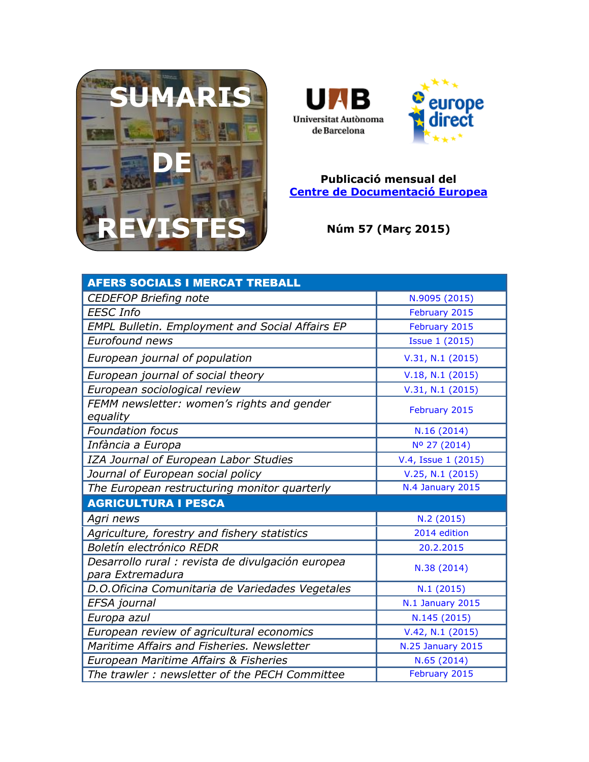





## **Publicació mensual del [Centre de Documentació Europea](http://www.uab.cat/biblioteques/cde/)**

**Núm 57 (Març 2015)**

| <b>AFERS SOCIALS I MERCAT TREBALL</b>                                 |                          |
|-----------------------------------------------------------------------|--------------------------|
| <b>CEDEFOP Briefing note</b>                                          | N.9095 (2015)            |
| <b>EESC Info</b>                                                      | February 2015            |
| <b>EMPL Bulletin. Employment and Social Affairs EP</b>                | February 2015            |
| Eurofound news                                                        | <b>Issue 1 (2015)</b>    |
| European journal of population                                        | V.31, N.1 (2015)         |
| European journal of social theory                                     | V.18, N.1 (2015)         |
| European sociological review                                          | V.31, N.1 (2015)         |
| FEMM newsletter: women's rights and gender<br>equality                | February 2015            |
| <b>Foundation focus</b>                                               | N.16(2014)               |
| Infància a Europa                                                     | Nº 27 (2014)             |
| IZA Journal of European Labor Studies                                 | V.4, Issue 1 (2015)      |
| Journal of European social policy                                     | V.25, N.1 (2015)         |
| The European restructuring monitor quarterly                          | N.4 January 2015         |
| <b>AGRICULTURA I PESCA</b>                                            |                          |
| Agri news                                                             | N.2 (2015)               |
| Agriculture, forestry and fishery statistics                          | 2014 edition             |
| Boletín electrónico REDR                                              | 20.2.2015                |
| Desarrollo rural : revista de divulgación europea<br>para Extremadura | N.38 (2014)              |
| D.O.Oficina Comunitaria de Variedades Vegetales                       | N.1(2015)                |
| EFSA journal                                                          | N.1 January 2015         |
| Europa azul                                                           | N.145 (2015)             |
| European review of agricultural economics                             | V.42, N.1 (2015)         |
| Maritime Affairs and Fisheries. Newsletter                            | <b>N.25 January 2015</b> |
| European Maritime Affairs & Fisheries                                 | N.65 (2014)              |
| The trawler: newsletter of the PECH Committee                         | February 2015            |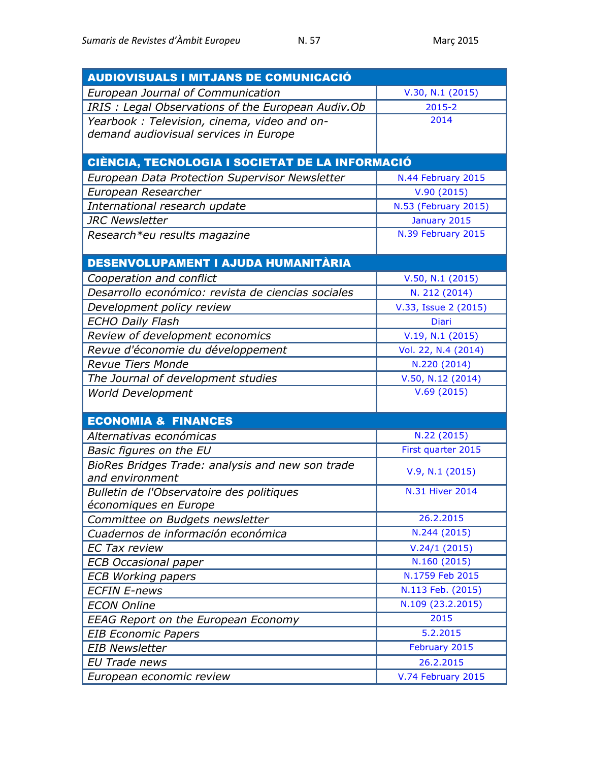| <b>AUDIOVISUALS I MITJANS DE COMUNICACIÓ</b>       |                      |
|----------------------------------------------------|----------------------|
| European Journal of Communication                  | V.30, N.1 (2015)     |
| IRIS: Legal Observations of the European Audiv.Ob  | $2015 - 2$           |
| Yearbook: Television, cinema, video and on-        | 2014                 |
| demand audiovisual services in Europe              |                      |
|                                                    |                      |
| CIÈNCIA, TECNOLOGIA I SOCIETAT DE LA INFORMACIÓ    |                      |
| European Data Protection Supervisor Newsletter     | N.44 February 2015   |
| European Researcher                                | V.90(2015)           |
| International research update                      | N.53 (February 2015) |
| <b>JRC Newsletter</b>                              | January 2015         |
| Research*eu results magazine                       | N.39 February 2015   |
|                                                    |                      |
| DESENVOLUPAMENT I AJUDA HUMANITÀRIA                |                      |
| Cooperation and conflict                           | V.50, N.1 (2015)     |
| Desarrollo económico: revista de ciencias sociales | N. 212 (2014)        |
| Development policy review                          | V.33, Issue 2 (2015) |
| <b>ECHO Daily Flash</b>                            | Diari                |
| Review of development economics                    | V.19, N.1 (2015)     |
| Revue d'économie du développement                  | Vol. 22, N.4 (2014)  |
| <b>Revue Tiers Monde</b>                           | N.220 (2014)         |
| The Journal of development studies                 | V.50, N.12(2014)     |
| <b>World Development</b>                           | V.69(2015)           |
|                                                    |                      |
| <b>ECONOMIA &amp; FINANCES</b>                     |                      |
| Alternativas económicas                            | N.22 (2015)          |
| Basic figures on the EU                            | First quarter 2015   |
| BioRes Bridges Trade: analysis and new son trade   | V.9, N.1 (2015)      |
| and environment                                    |                      |
| Bulletin de l'Observatoire des politiques          | N.31 Hiver 2014      |
| économiques en Europe                              |                      |
| Committee on Budgets newsletter                    | 26.2.2015            |
| Cuadernos de información económica                 | N.244 (2015)         |
| <b>EC Tax review</b>                               | V.24/1(2015)         |
| <b>ECB Occasional paper</b>                        | N.160 (2015)         |
| <b>ECB Working papers</b>                          | N.1759 Feb 2015      |
| <b>ECFIN E-news</b>                                | N.113 Feb. (2015)    |
| <b>ECON Online</b>                                 | N.109 (23.2.2015)    |
| <b>EEAG Report on the European Economy</b>         | 2015                 |
| <b>EIB Economic Papers</b>                         | 5.2.2015             |
| <b>EIB Newsletter</b>                              | February 2015        |
| <b>EU Trade news</b>                               | 26.2.2015            |
| European economic review                           | V.74 February 2015   |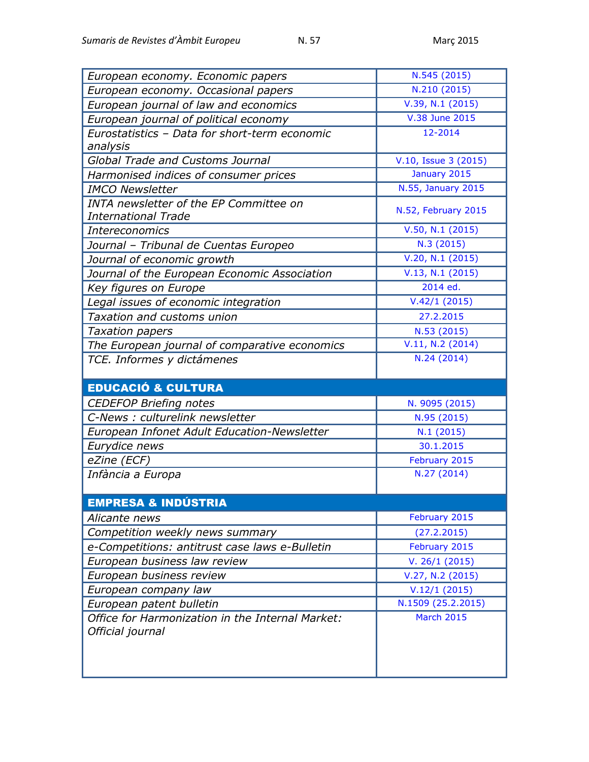| European economy. Economic papers                | N.545 (2015)               |
|--------------------------------------------------|----------------------------|
| European economy. Occasional papers              | N.210 (2015)               |
| European journal of law and economics            | V.39, N.1 (2015)           |
| European journal of political economy            | V.38 June 2015             |
| Eurostatistics - Data for short-term economic    | 12-2014                    |
| analysis                                         |                            |
| <b>Global Trade and Customs Journal</b>          | V.10, Issue 3 (2015)       |
| Harmonised indices of consumer prices            | January 2015               |
| <b>IMCO Newsletter</b>                           | N.55, January 2015         |
| INTA newsletter of the EP Committee on           | N.52, February 2015        |
| <b>International Trade</b>                       |                            |
| <b>Intereconomics</b>                            | V.50, N.1 (2015)           |
| Journal - Tribunal de Cuentas Europeo            | N.3 (2015)                 |
| Journal of economic growth                       | V.20, N.1 (2015)           |
| Journal of the European Economic Association     | $V.13, N.1$ (2015)         |
| Key figures on Europe                            | 2014 ed.                   |
| Legal issues of economic integration             | $\overline{V.42}/1$ (2015) |
| Taxation and customs union                       | 27.2.2015                  |
| <b>Taxation papers</b>                           | N.53 (2015)                |
| The European journal of comparative economics    | V.11, N.2 (2014)           |
| TCE. Informes y dictámenes                       | N.24 (2014)                |
|                                                  |                            |
|                                                  |                            |
| <b>EDUCACIÓ &amp; CULTURA</b>                    |                            |
| <b>CEDEFOP Briefing notes</b>                    | N. 9095 (2015)             |
| C-News : culturelink newsletter                  | N.95 (2015)                |
| European Infonet Adult Education-Newsletter      | N.1(2015)                  |
| Eurydice news                                    | 30.1.2015                  |
| eZine (ECF)                                      | February 2015              |
| Infància a Europa                                | N.27 (2014)                |
|                                                  |                            |
| <b>EMPRESA &amp; INDÚSTRIA</b>                   |                            |
| Alicante news                                    | February 2015              |
| Competition weekly news summary                  | (27.2.2015)                |
| e-Competitions: antitrust case laws e-Bulletin   | February 2015              |
| European business law review                     | V. 26/1 (2015)             |
| European business review                         | V.27, N.2 (2015)           |
| European company law                             | V.12/1(2015)               |
| European patent bulletin                         | N.1509 (25.2.2015)         |
| Office for Harmonization in the Internal Market: | <b>March 2015</b>          |
| Official journal                                 |                            |
|                                                  |                            |
|                                                  |                            |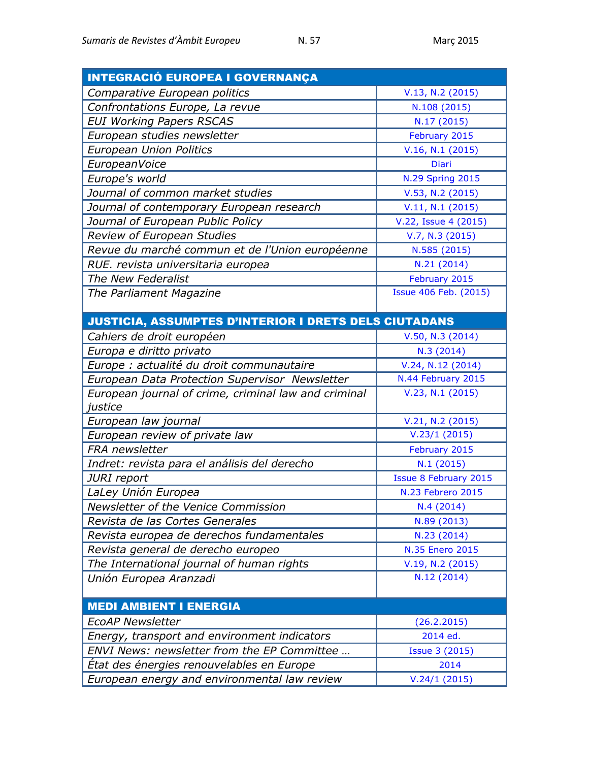| <b>INTEGRACIÓ EUROPEA I GOVERNANÇA</b>                       |                              |
|--------------------------------------------------------------|------------------------------|
| Comparative European politics                                | V.13, N.2 (2015)             |
| Confrontations Europe, La revue                              | N.108 (2015)                 |
| <b>EUI Working Papers RSCAS</b>                              | N.17 (2015)                  |
| European studies newsletter                                  | February 2015                |
| <b>European Union Politics</b>                               | V.16, N.1 (2015)             |
| EuropeanVoice                                                | <b>Diari</b>                 |
| Europe's world                                               | <b>N.29 Spring 2015</b>      |
| Journal of common market studies                             | V.53, N.2 (2015)             |
| Journal of contemporary European research                    | V.11, N.1 (2015)             |
| Journal of European Public Policy                            | V.22, Issue 4 (2015)         |
| Review of European Studies                                   | V.7, N.3 (2015)              |
| Revue du marché commun et de l'Union européenne              | N.585 (2015)                 |
| RUE. revista universitaria europea                           | N.21 (2014)                  |
| The New Federalist                                           | February 2015                |
| The Parliament Magazine                                      | Issue 406 Feb. (2015)        |
|                                                              |                              |
| <b>JUSTICIA, ASSUMPTES D'INTERIOR I DRETS DELS CIUTADANS</b> |                              |
| Cahiers de droit européen                                    | V.50, N.3 (2014)             |
| Europa e diritto privato                                     | N.3(2014)                    |
| Europe : actualité du droit communautaire                    | V.24, N.12(2014)             |
| European Data Protection Supervisor Newsletter               | N.44 February 2015           |
| European journal of crime, criminal law and criminal         | V.23, N.1 (2015)             |
| justice                                                      |                              |
| European law journal                                         | V.21, N.2 (2015)             |
| European review of private law                               | V.23/1(2015)                 |
| FRA newsletter                                               | February 2015                |
| Indret: revista para el análisis del derecho                 | N.1 (2015)                   |
| JURI report                                                  | <b>Issue 8 February 2015</b> |
| LaLey Unión Europea                                          | N.23 Febrero 2015            |
| Newsletter of the Venice Commission                          | N.4 (2014)                   |
| Revista de las Cortes Generales                              | N.89 (2013)                  |
| Revista europea de derechos fundamentales                    | N.23 (2014)                  |
| Revista general de derecho europeo                           | N.35 Enero 2015              |
| The International journal of human rights                    | V.19, N.2 (2015)             |
| Unión Europea Aranzadi                                       | N.12 (2014)                  |
|                                                              |                              |
| <b>MEDI AMBIENT I ENERGIA</b>                                |                              |
| <b>EcoAP Newsletter</b>                                      | (26.2.2015)                  |
| Energy, transport and environment indicators                 | 2014 ed.                     |
| ENVI News: newsletter from the EP Committee                  | <b>Issue 3 (2015)</b>        |
| Etat des énergies renouvelables en Europe                    | 2014                         |
| European energy and environmental law review                 | V.24/1(2015)                 |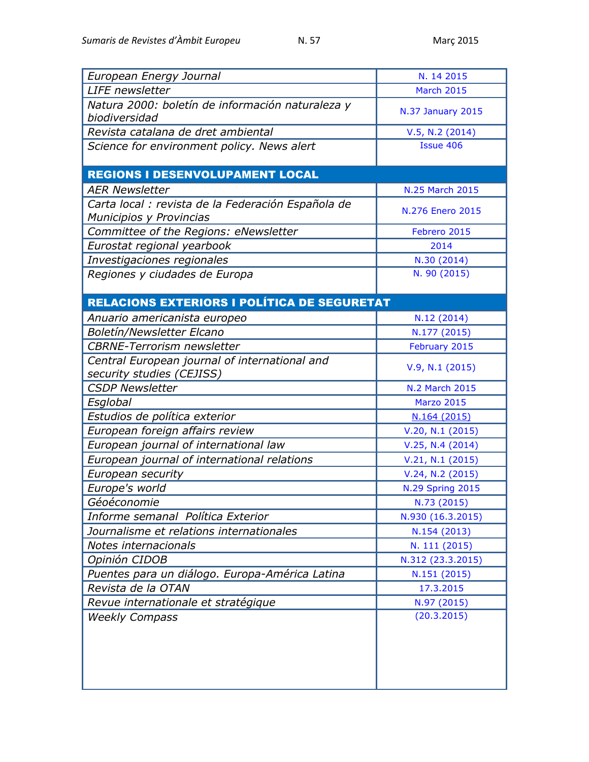| European Energy Journal                                                       | N. 14 2015               |
|-------------------------------------------------------------------------------|--------------------------|
| <b>LIFE</b> newsletter                                                        | <b>March 2015</b>        |
| Natura 2000: boletín de información naturaleza y<br>biodiversidad             | <b>N.37 January 2015</b> |
| Revista catalana de dret ambiental                                            | V.5, N.2 (2014)          |
| Science for environment policy. News alert                                    | <b>Issue 406</b>         |
|                                                                               |                          |
| <b>REGIONS I DESENVOLUPAMENT LOCAL</b>                                        |                          |
| <b>AER Newsletter</b>                                                         | N.25 March 2015          |
| Carta local : revista de la Federación Española de<br>Municipios y Provincias | N.276 Enero 2015         |
| Committee of the Regions: eNewsletter                                         | Febrero 2015             |
| Eurostat regional yearbook                                                    | 2014                     |
| Investigaciones regionales                                                    | N.30 (2014)              |
| Regiones y ciudades de Europa                                                 | N. 90 (2015)             |
|                                                                               |                          |
| <b>RELACIONS EXTERIORS I POLÍTICA DE SEGURETAT</b>                            |                          |
| Anuario americanista europeo                                                  | N.12 (2014)              |
| Boletín/Newsletter Elcano                                                     | N.177 (2015)             |
| <b>CBRNE-Terrorism newsletter</b>                                             | February 2015            |
| Central European journal of international and                                 | V.9, N.1 (2015)          |
| security studies (CEJISS)                                                     |                          |
| <b>CSDP Newsletter</b>                                                        | <b>N.2 March 2015</b>    |
| Esglobal                                                                      | <b>Marzo 2015</b>        |
| Estudios de política exterior                                                 | N.164 (2015)             |
| European foreign affairs review                                               | V.20, N.1 (2015)         |
| European journal of international law                                         | V.25, N.4(2014)          |
| European journal of international relations                                   | V.21, N.1 (2015)         |
| European security                                                             | V.24, N.2 (2015)         |
| Europe's world                                                                | <b>N.29 Spring 2015</b>  |
| Géoéconomie                                                                   | N.73 (2015)              |
| Informe semanal Política Exterior                                             | N.930 (16.3.2015)        |
| Journalisme et relations internationales                                      | N.154 (2013)             |
| Notes internacionals                                                          | N. 111 (2015)            |
| Opinión CIDOB                                                                 | N.312 (23.3.2015)        |
| Puentes para un diálogo. Europa-América Latina                                | N.151 (2015)             |
| Revista de la OTAN                                                            | 17.3.2015                |
| Revue internationale et stratégique                                           | N.97 (2015)              |
| <b>Weekly Compass</b>                                                         | (20.3.2015)              |
|                                                                               |                          |